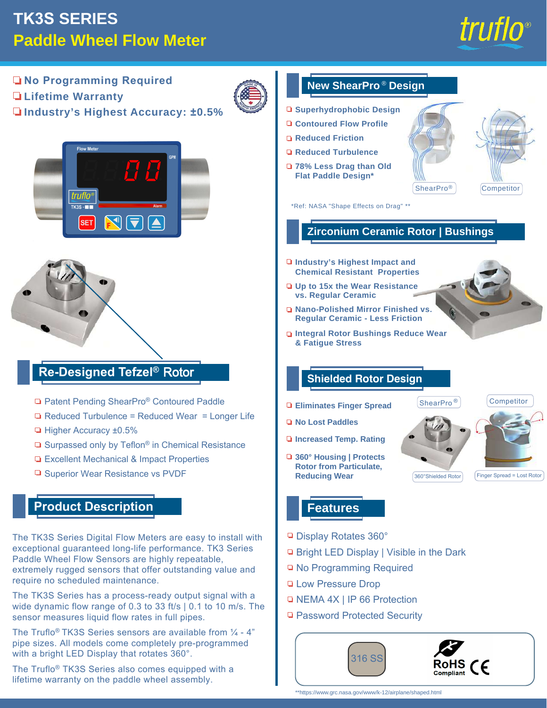# **TK3S SERIES Paddle Wheel Flow Meter**

The Truflo® TK3S Series also comes equipped with a lifetime warranty on the paddle wheel assembly.



**No Programming Required New ShearPro<sup>®</sup> Design Lifetime Warranty Superhydrophobic Design Industry's Highest Accuracy: ±0.5% Contoured Flow Profile Reduced Friction Reduced Turbulence 78% Less Drag than Old Flat Paddle Design\* ShearPro®** Competitor truflo  $TK3S - T$ \*Ref: NASA "Shape Effects on Drag" \*\* **SET Zirconium Ceramic Rotor | Bushings Industry's Highest Impact and Chemical Resistant Properties Up to 15x the Wear Resistance vs. Regular Ceramic Nano-Polished Mirror Finished vs. Regular Ceramic - Less Friction Integral Rotor Bushings Reduce Wear & Fatigue Stress Re-Designed Tefzel®** Rotor **Shielded Rotor Design** □ Patent Pending ShearPro<sup>®</sup> Contoured Paddle ShearPro<sup>®</sup> Competitor **Eliminates Finger Spread** □ Reduced Turbulence = Reduced Wear = Longer Life **No Lost Paddles** ■ Higher Accuracy ±0.5% **Increased Temp. Rating**  $\Box$  Surpassed only by Teflon<sup>®</sup> in Chemical Resistance **360° Housing | Protects**  □ Excellent Mechanical & Impact Properties **Rotor from Particulate,**  □ Superior Wear Resistance vs PVDF **Reducing Wear** 360°Shielded Rotor Finger Spread = Lost Rotor **Product Description Features** Display Rotates 360° The TK3S Series Digital Flow Meters are easy to install with exceptional guaranteed long-life performance. TK3 Series □ Bright LED Display | Visible in the Dark Paddle Wheel Flow Sensors are highly repeatable, **□ No Programming Required** extremely rugged sensors that offer outstanding value and require no scheduled maintenance. **Low Pressure Drop** The TK3S Series has a process-ready output signal with a □ NEMA 4X | IP 66 Protection wide dynamic flow range of 0.3 to 33 ft/s | 0.1 to 10 m/s. The □ Password Protected Security sensor measures liquid flow rates in full pipes. The Truflo<sup>®</sup> TK3S Series sensors are available from  $\frac{1}{4}$  - 4" pipe sizes. All models come completely pre-programmed with a bright LED Display that rotates 360°.

316 S